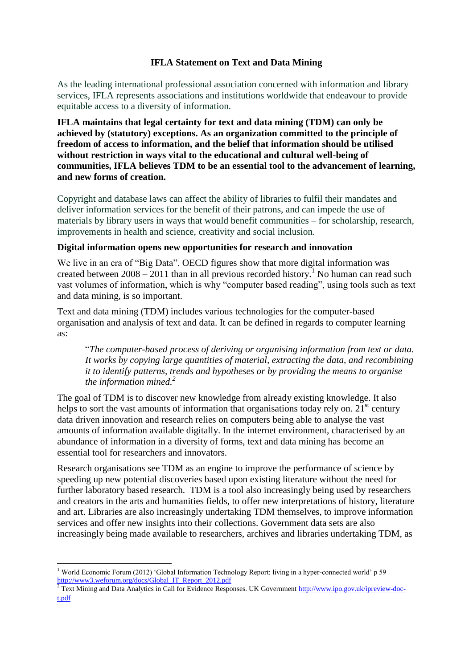## **IFLA Statement on Text and Data Mining**

As the leading international professional association concerned with information and library services, IFLA represents associations and institutions worldwide that endeavour to provide equitable access to a diversity of information.

**IFLA maintains that legal certainty for text and data mining (TDM) can only be achieved by (statutory) exceptions. As an organization committed to the principle of freedom of access to information, and the belief that information should be utilised without restriction in ways vital to the educational and cultural well-being of communities, IFLA believes TDM to be an essential tool to the advancement of learning, and new forms of creation.** 

Copyright and database laws can affect the ability of libraries to fulfil their mandates and deliver information services for the benefit of their patrons, and can impede the use of materials by library users in ways that would benefit communities – for scholarship, research, improvements in health and science, creativity and social inclusion.

## **Digital information opens new opportunities for research and innovation**

We live in an era of "Big Data". OECD figures show that more digital information was created between  $2008 - 2011$  than in all previous recorded history.<sup>1</sup> No human can read such vast volumes of information, which is why "computer based reading", using tools such as text and data mining, is so important.

Text and data mining (TDM) includes various technologies for the computer-based organisation and analysis of text and data. It can be defined in regards to computer learning as:

"*The computer-based process of deriving or organising information from text or data. It works by copying large quantities of material, extracting the data, and recombining it to identify patterns, trends and hypotheses or by providing the means to organise the information mined.<sup>2</sup>*

The goal of TDM is to discover new knowledge from already existing knowledge. It also helps to sort the vast amounts of information that organisations today rely on.  $21<sup>st</sup>$  century data driven innovation and research relies on computers being able to analyse the vast amounts of information available digitally. In the internet environment, characterised by an abundance of information in a diversity of forms, text and data mining has become an essential tool for researchers and innovators.

Research organisations see TDM as an engine to improve the performance of science by speeding up new potential discoveries based upon existing literature without the need for further laboratory based research. TDM is a tool also increasingly being used by researchers and creators in the arts and humanities fields, to offer new interpretations of history, literature and art. Libraries are also increasingly undertaking TDM themselves, to improve information services and offer new insights into their collections. Government data sets are also increasingly being made available to researchers, archives and libraries undertaking TDM, as

1

<sup>1</sup> World Economic Forum (2012) 'Global Information Technology Report: living in a hyper-connected world' p 59 [http://www3.weforum.org/docs/Global\\_IT\\_Report\\_2012.pdf](http://www3.weforum.org/docs/Global_IT_Report_2012.pdf)<br>
<sup>2</sup>Text Mining cad D.

<sup>2</sup> Text Mining and Data Analytics in Call for Evidence Responses. UK Government [http://www.ipo.gov.uk/ipreview-doc](http://www.ipo.gov.uk/ipreview-doc-t.pdf)[t.pdf](http://www.ipo.gov.uk/ipreview-doc-t.pdf)